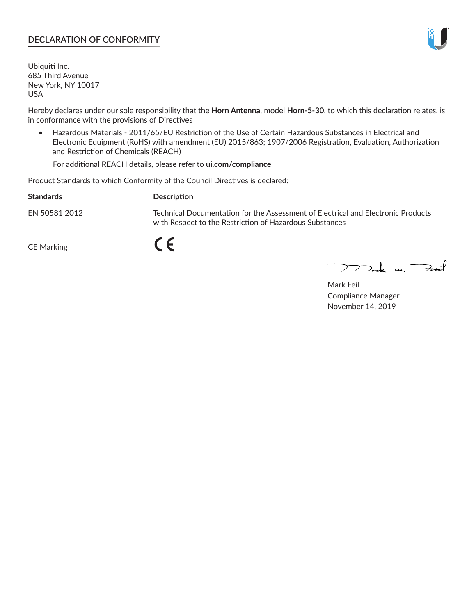## **DECLARATION OF CONFORMITY**

Ubiquiti Inc. 685 Third Avenue New York, NY 10017 USA

Hereby declares under our sole responsibility that the **Horn Antenna**, model **Horn-5-30**, to which this declaration relates, is in conformance with the provisions of Directives

• Hazardous Materials - 2011/65/EU Restriction of the Use of Certain Hazardous Substances in Electrical and Electronic Equipment (RoHS) with amendment (EU) 2015/863; 1907/2006 Registration, Evaluation, Authorization and Restriction of Chemicals (REACH)

For additional REACH details, please refer to **ui.com/compliance**

Product Standards to which Conformity of the Council Directives is declared:

| <b>Standards</b>  | Description                                                                                                                                 |
|-------------------|---------------------------------------------------------------------------------------------------------------------------------------------|
| EN 50581 2012     | Technical Documentation for the Assessment of Electrical and Electronic Products<br>with Respect to the Restriction of Hazardous Substances |
| <b>CE Marking</b> |                                                                                                                                             |

 $\sum_{n=1}^{\infty}$  un  $\sum_{n=1}^{\infty}$ 

Mark Feil Compliance Manager November 14, 2019

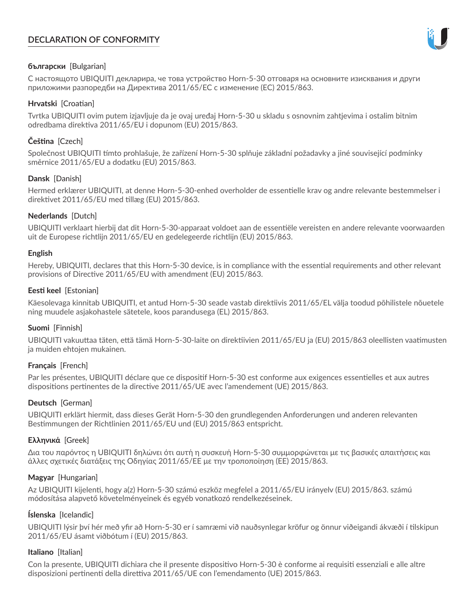# **DECLARATION OF CONFORMITY**



## **български** [Bulgarian]

С настоящото UBIQUITI декларира, че това устройство Horn-5-30 отговаря на основните изисквания и други приложими разпоредби на Директива 2011/65/ЕС с изменение (ЕС) 2015/863.

## **Hrvatski** [Croatian]

Tvrtka UBIQUITI ovim putem izjavljuje da je ovaj uređaj Horn-5-30 u skladu s osnovnim zahtjevima i ostalim bitnim odredbama direktiva 2011/65/EU i dopunom (EU) 2015/863.

## **Čeština** [Czech]

Společnost UBIQUITI tímto prohlašuje, že zařízení Horn-5-30 splňuje základní požadavky a jiné související podmínky směrnice 2011/65/EU a dodatku (EU) 2015/863.

## **Dansk** [Danish]

Hermed erklærer UBIQUITI, at denne Horn-5-30-enhed overholder de essentielle krav og andre relevante bestemmelser i direktivet 2011/65/EU med tillæg (EU) 2015/863.

## **Nederlands** [Dutch]

UBIQUITI verklaart hierbij dat dit Horn-5-30-apparaat voldoet aan de essentiële vereisten en andere relevante voorwaarden uit de Europese richtlijn 2011/65/EU en gedelegeerde richtlijn (EU) 2015/863.

#### **English**

Hereby, UBIQUITI, declares that this Horn-5-30 device, is in compliance with the essential requirements and other relevant provisions of Directive 2011/65/EU with amendment (EU) 2015/863.

## **Eesti keel** [Estonian]

Käesolevaga kinnitab UBIQUITI, et antud Horn-5-30 seade vastab direktiivis 2011/65/EL välja toodud põhilistele nõuetele ning muudele asjakohastele sätetele, koos parandusega (EL) 2015/863.

## **Suomi** [Finnish]

UBIQUITI vakuuttaa täten, että tämä Horn-5-30-laite on direktiivien 2011/65/EU ja (EU) 2015/863 oleellisten vaatimusten ja muiden ehtojen mukainen.

#### **Français** [French]

Par les présentes, UBIQUITI déclare que ce dispositif Horn-5-30 est conforme aux exigences essentielles et aux autres dispositions pertinentes de la directive 2011/65/UE avec l'amendement (UE) 2015/863.

## **Deutsch** [German]

UBIQUITI erklärt hiermit, dass dieses Gerät Horn-5-30 den grundlegenden Anforderungen und anderen relevanten Bestimmungen der Richtlinien 2011/65/EU und (EU) 2015/863 entspricht.

#### **Ελληνικά** [Greek]

Δια του παρόντος η UBIQUITI δηλώνει ότι αυτή η συσκευή Horn-5-30 συμμορφώνεται με τις βασικές απαιτήσεις και άλλες σχετικές διατάξεις της Οδηγίας 2011/65/ΕΕ με την τροποποίηση (ΕΕ) 2015/863.

#### **Magyar** [Hungarian]

Az UBIQUITI kijelenti, hogy a(z) Horn-5-30 számú eszköz megfelel a 2011/65/EU irányelv (EU) 2015/863. számú módosítása alapvető követelményeinek és egyéb vonatkozó rendelkezéseinek.

#### **Íslenska** [Icelandic]

UBIQUITI lýsir því hér með yfir að Horn-5-30 er í samræmi við nauðsynlegar kröfur og önnur viðeigandi ákvæði í tilskipun 2011/65/EU ásamt viðbótum í (EU) 2015/863.

#### **Italiano** [Italian]

Con la presente, UBIQUITI dichiara che il presente dispositivo Horn-5-30 è conforme ai requisiti essenziali e alle altre disposizioni pertinenti della direttiva 2011/65/UE con l'emendamento (UE) 2015/863.